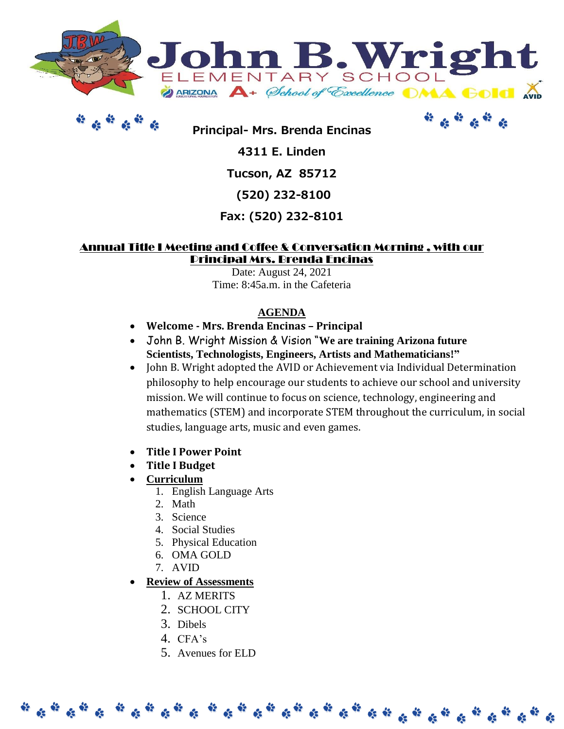



**Principal- Mrs. Brenda Encinas**

**4311 E. Linden**

# **Tucson, AZ 85712**

**(520) 232-8100** 

# **Fax: (520) 232-8101**

## Annual Title I Meeting and Coffee & Conversation Morning , with our Principal Mrs. Brenda Encinas

Date: August 24, 2021 Time: 8:45a.m. in the Cafeteria

## **AGENDA**

- **Welcome - Mrs. Brenda Encinas – Principal**
- John B. Wright Mission & Vision "**We are training Arizona future Scientists, Technologists, Engineers, Artists and Mathematicians!"**
- John B. Wright adopted the AVID or Achievement via Individual Determination philosophy to help encourage our students to achieve our school and university mission. We will continue to focus on science, technology, engineering and mathematics (STEM) and incorporate STEM throughout the curriculum, in social studies, language arts, music and even games.
- **Title I Power Point**
- **Title I Budget**
- **Curriculum**
	- 1. English Language Arts
	- 2. Math
	- 3. Science
	- 4. Social Studies
	- 5. Physical Education
	- 6. OMA GOLD
	- 7. AVID

# **Review of Assessments**

- 1. AZ MERITS
- 2. SCHOOL CITY
- 3. Dibels
- 4. CFA's
- 5. Avenues for ELD